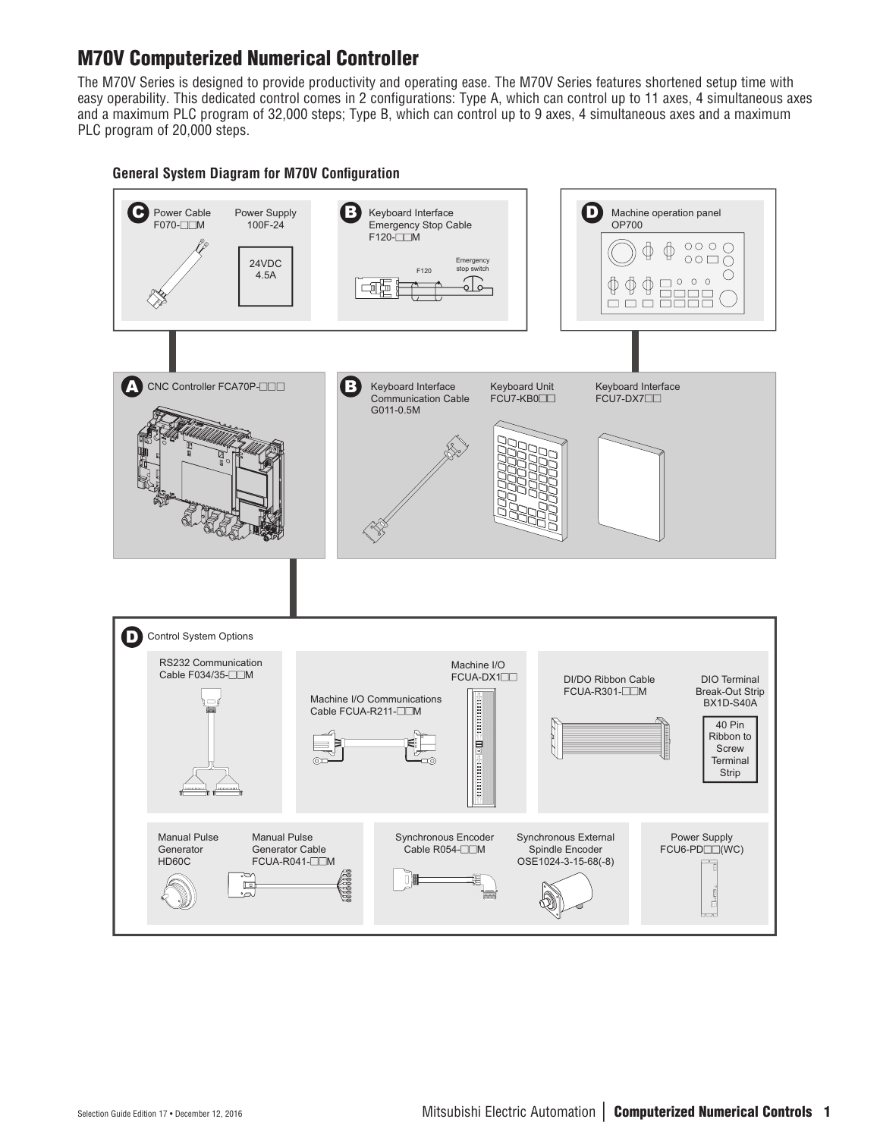# M70V Computerized Numerical Controller

The M70V Series is designed to provide productivity and operating ease. The M70V Series features shortened setup time with easy operability. This dedicated control comes in 2 configurations: Type A, which can control up to 11 axes, 4 simultaneous axes and a maximum PLC program of 32,000 steps; Type B, which can control up to 9 axes, 4 simultaneous axes and a maximum PLC program of 20,000 steps.

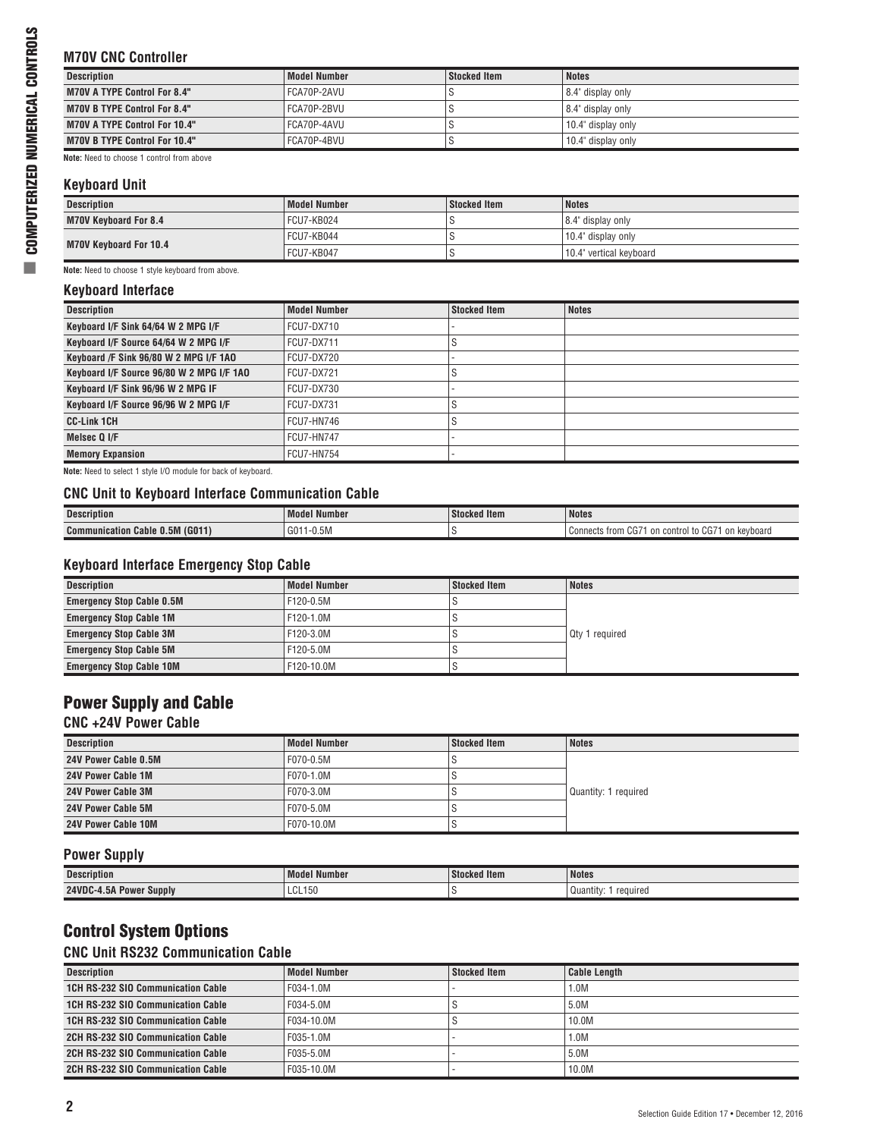## **M70V CNC Controller**

| <b>Description</b>                   | <b>Model Number</b> | Stocked Item | <b>Notes</b>       |
|--------------------------------------|---------------------|--------------|--------------------|
|                                      |                     |              |                    |
| <b>M70V A TYPE Control For 8.4"</b>  | FCA70P-2AVU         |              | 8.4" display only  |
| <b>M70V B TYPE Control For 8.4"</b>  | FCA70P-2BVU         |              | 8.4" display only  |
| <b>M70V A TYPE Control For 10.4"</b> | l FCA70P-4AVU       |              | 10.4" display only |
| <b>M70V B TYPE Control For 10.4"</b> | FCA70P-4BVU         |              | 10.4" display only |
|                                      |                     |              |                    |

**Note:** Need to choose 1 control from above

## **Keyboard Unit**

| Description            | <b>Model Number</b> | Stocked Item | <b>Notes</b>            |
|------------------------|---------------------|--------------|-------------------------|
| M70V Keyboard For 8.4  | FCU7-KB024          |              | 8.4" display only       |
| M70V Keyboard For 10.4 | FCU7-KB044          |              | 10.4" display only      |
|                        | FCU7-KB047          |              | 10.4" vertical keyboard |

**Note:** Need to choose 1 style keyboard from above.

## **Keyboard Interface**

| <b>Description</b>                        | Model Number      | <b>Stocked Item</b> | <b>Notes</b> |
|-------------------------------------------|-------------------|---------------------|--------------|
| Keyboard I/F Sink 64/64 W 2 MPG I/F       | <b>FCU7-DX710</b> |                     |              |
| Keyboard I/F Source 64/64 W 2 MPG I/F     | <b>FCU7-DX711</b> |                     |              |
| Keyboard /F Sink 96/80 W 2 MPG I/F 1AO    | FCU7-DX720        |                     |              |
| Keyboard I/F Source 96/80 W 2 MPG I/F 1AO | <b>FCU7-DX721</b> |                     |              |
| Keyboard I/F Sink 96/96 W 2 MPG IF        | <b>FCU7-DX730</b> |                     |              |
| Keyboard I/F Source 96/96 W 2 MPG I/F     | <b>FCU7-DX731</b> |                     |              |
| <b>CC-Link 1CH</b>                        | FCU7-HN746        |                     |              |
| Melsec Q I/F                              | <b>FCU7-HN747</b> |                     |              |
| <b>Memory Expansion</b>                   | <b>FCU7-HN754</b> |                     |              |

**Note:** Need to select 1 style I/O module for back of keyboard.

#### **CNC Unit to Keyboard Interface Communication Cable**

| <b>Description</b>                        | .<br>. Model Number       | <b>Stocked Item</b><br>$\sim$ | <b>Notes</b>                                                                                                               |
|-------------------------------------------|---------------------------|-------------------------------|----------------------------------------------------------------------------------------------------------------------------|
| (G011)<br><b>Communication Cable 0.5M</b> | G0 <sup>1</sup><br>1-0.5M |                               | $\sim$ $\sim$ $-$<br>$\sim$ $\sim$<br>kevboard<br>:ontrol<br>trom<br>Connects<br>on<br>on<br>$\overline{\phantom{a}}$<br>. |

## **Keyboard Interface Emergency Stop Cable**

| <b>Description</b>               | <b>Model Number</b> | <b>Stocked Item</b> | <b>Notes</b>   |
|----------------------------------|---------------------|---------------------|----------------|
| <b>Emergency Stop Cable 0.5M</b> | F120-0.5M           |                     |                |
| <b>Emergency Stop Cable 1M</b>   | F120-1.0M           |                     |                |
| <b>Emergency Stop Cable 3M</b>   | F120-3.0M           |                     | Qty 1 required |
| <b>Emergency Stop Cable 5M</b>   | F120-5.0M           |                     |                |
| <b>Emergency Stop Cable 10M</b>  | F120-10.0M          |                     |                |

## Power Supply and Cable

## **CNC +24V Power Cable**

| Description               | Model Number | Stocked Item | <b>Notes</b>         |
|---------------------------|--------------|--------------|----------------------|
| 24V Power Cable 0.5M      | F070-0.5M    |              |                      |
| 24V Power Cable 1M        | F070-1.0M    |              |                      |
| 24V Power Cable 3M        | F070-3.0M    |              | Quantity: 1 required |
| <b>24V Power Cable 5M</b> | F070-5.0M    |              |                      |
| 24V Power Cable 10M       | F070-10.0M   |              |                      |

## **Power Supply**

| <b>Description</b>         | Model Number | <b>Stocked Item</b> | <b>Notes</b>          |
|----------------------------|--------------|---------------------|-----------------------|
| 24VDC-4.5A<br>Power Supply | LCL150       |                     | reauired<br>Quantity: |

## Control System Options

## **CNC Unit RS232 Communication Cable**

| <b>Description</b>                 | <b>Model Number</b> | <b>Stocked Item</b> | <b>Cable Length</b> |
|------------------------------------|---------------------|---------------------|---------------------|
| 1CH RS-232 SIO Communication Cable | F034-1.0M           |                     | 1.0M                |
| 1CH RS-232 SIO Communication Cable | F034-5.0M           |                     | 5.0M                |
| 1CH RS-232 SIO Communication Cable | F034-10.0M          |                     | 10.0M               |
| 2CH RS-232 SIO Communication Cable | F035-1 0M           |                     | 1.0M                |
| 2CH RS-232 SIO Communication Cable | F035-5.0M           |                     | 5.0M                |
| 2CH RS-232 SIO Communication Cable | F035-10.0M          |                     | 10.0M               |